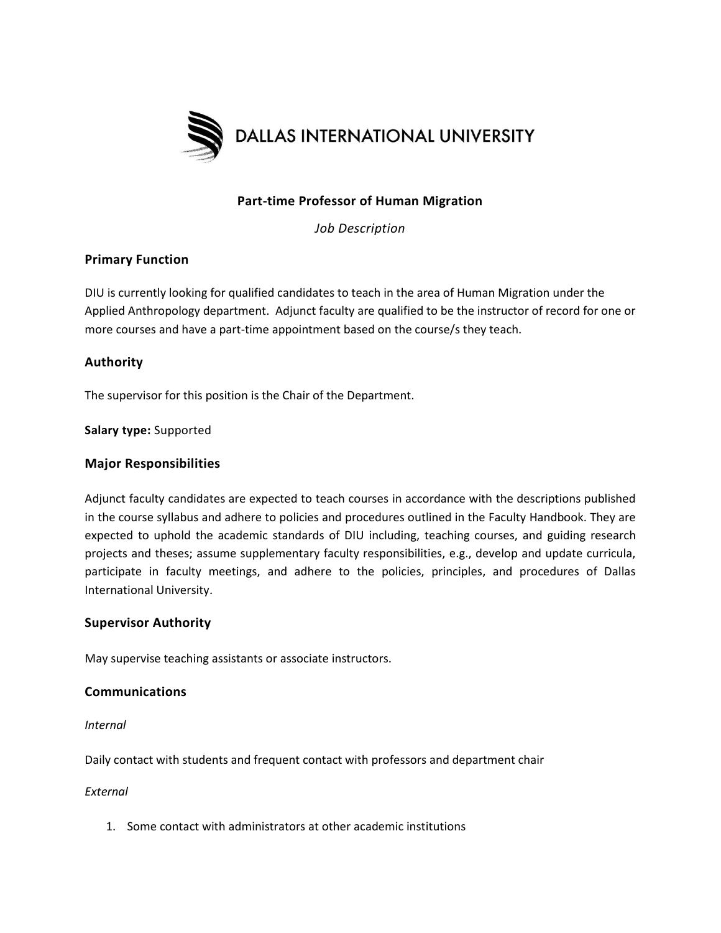

# **Part-time Professor of Human Migration**

*Job Description*

# **Primary Function**

DIU is currently looking for qualified candidates to teach in the area of Human Migration under the Applied Anthropology department. Adjunct faculty are qualified to be the instructor of record for one or more courses and have a part-time appointment based on the course/s they teach.

## **Authority**

The supervisor for this position is the Chair of the Department.

**Salary type:** Supported

#### **Major Responsibilities**

Adjunct faculty candidates are expected to teach courses in accordance with the descriptions published in the course syllabus and adhere to policies and procedures outlined in the Faculty Handbook. They are expected to uphold the academic standards of DIU including, teaching courses, and guiding research projects and theses; assume supplementary faculty responsibilities, e.g., develop and update curricula, participate in faculty meetings, and adhere to the policies, principles, and procedures of Dallas International University.

#### **Supervisor Authority**

May supervise teaching assistants or associate instructors.

### **Communications**

*Internal*

Daily contact with students and frequent contact with professors and department chair

#### *External*

1. Some contact with administrators at other academic institutions